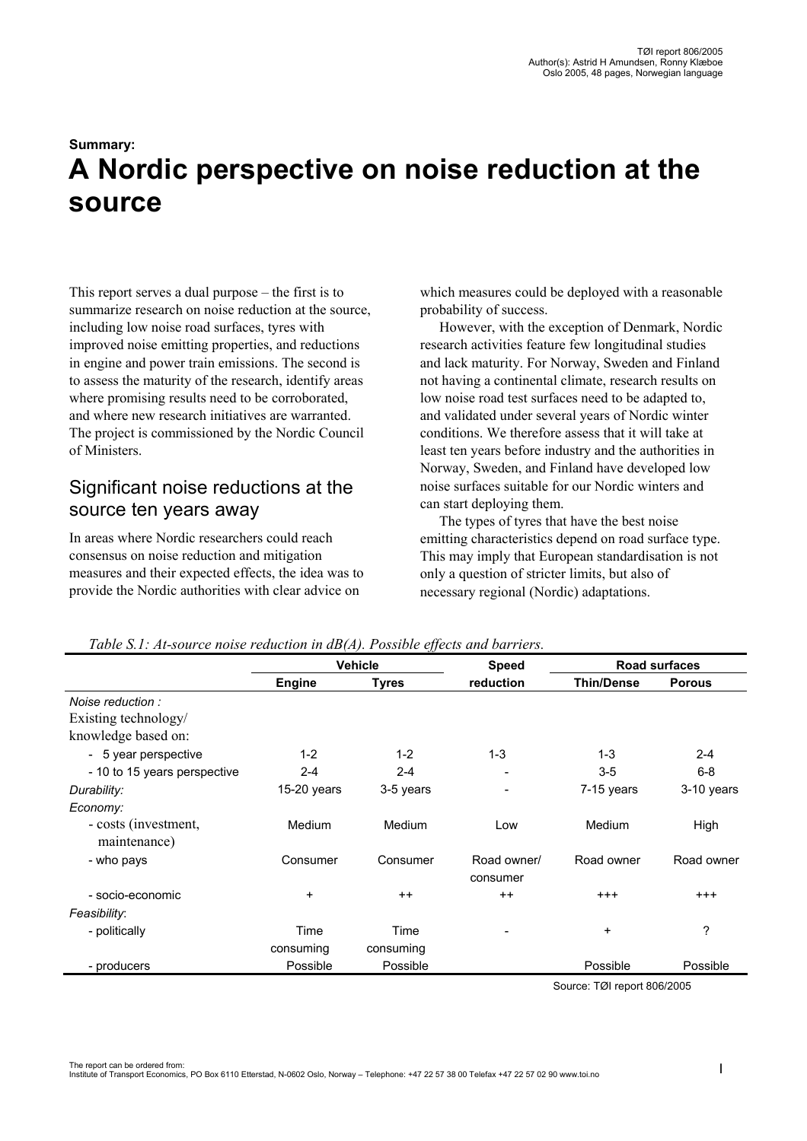# **Summary: A Nordic perspective on noise reduction at the source**

This report serves a dual purpose – the first is to summarize research on noise reduction at the source, including low noise road surfaces, tyres with improved noise emitting properties, and reductions in engine and power train emissions. The second is to assess the maturity of the research, identify areas where promising results need to be corroborated. and where new research initiatives are warranted. The project is commissioned by the Nordic Council of Ministers.

# Significant noise reductions at the source ten years away

In areas where Nordic researchers could reach consensus on noise reduction and mitigation measures and their expected effects, the idea was to provide the Nordic authorities with clear advice on

which measures could be deployed with a reasonable probability of success.

However, with the exception of Denmark, Nordic research activities feature few longitudinal studies and lack maturity. For Norway, Sweden and Finland not having a continental climate, research results on low noise road test surfaces need to be adapted to, and validated under several years of Nordic winter conditions. We therefore assess that it will take at least ten years before industry and the authorities in Norway, Sweden, and Finland have developed low noise surfaces suitable for our Nordic winters and can start deploying them.

The types of tyres that have the best noise emitting characteristics depend on road surface type. This may imply that European standardisation is not only a question of stricter limits, but also of necessary regional (Nordic) adaptations.

|                              | <b>Vehicle</b> |              | <b>Speed</b>    | Road surfaces     |               |
|------------------------------|----------------|--------------|-----------------|-------------------|---------------|
|                              | <b>Engine</b>  | <b>Tyres</b> | reduction       | <b>Thin/Dense</b> | <b>Porous</b> |
| Noise reduction:             |                |              |                 |                   |               |
| Existing technology/         |                |              |                 |                   |               |
| knowledge based on:          |                |              |                 |                   |               |
| - 5 year perspective         | $1 - 2$        | $1 - 2$      | $1 - 3$         | $1 - 3$           | $2 - 4$       |
| - 10 to 15 years perspective | $2 - 4$        | $2 - 4$      |                 | $3 - 5$           | $6 - 8$       |
| Durability:                  | $15-20$ years  | 3-5 years    |                 | 7-15 years        | 3-10 years    |
| Economy:                     |                |              |                 |                   |               |
| - costs (investment,         | Medium         | Medium       | Low             | Medium            | High          |
| maintenance)                 |                |              |                 |                   |               |
| - who pays                   | Consumer       | Consumer     | Road owner/     | Road owner        | Road owner    |
|                              |                |              | consumer        |                   |               |
| - socio-economic             | $\ddot{}$      | $++$         | $++$            | $^{+++}$          | $^{+++}$      |
| Feasibility:                 |                |              |                 |                   |               |
| - politically                | Time           | Time         | $\qquad \qquad$ | $\ddot{}$         | ?             |
|                              | consuming      | consuming    |                 |                   |               |
| - producers                  | Possible       | Possible     |                 | Possible          | Possible      |

#### *Table S.1: At-source noise reduction in dB(A). Possible effects and barriers.*

Source: TØI report 806/2005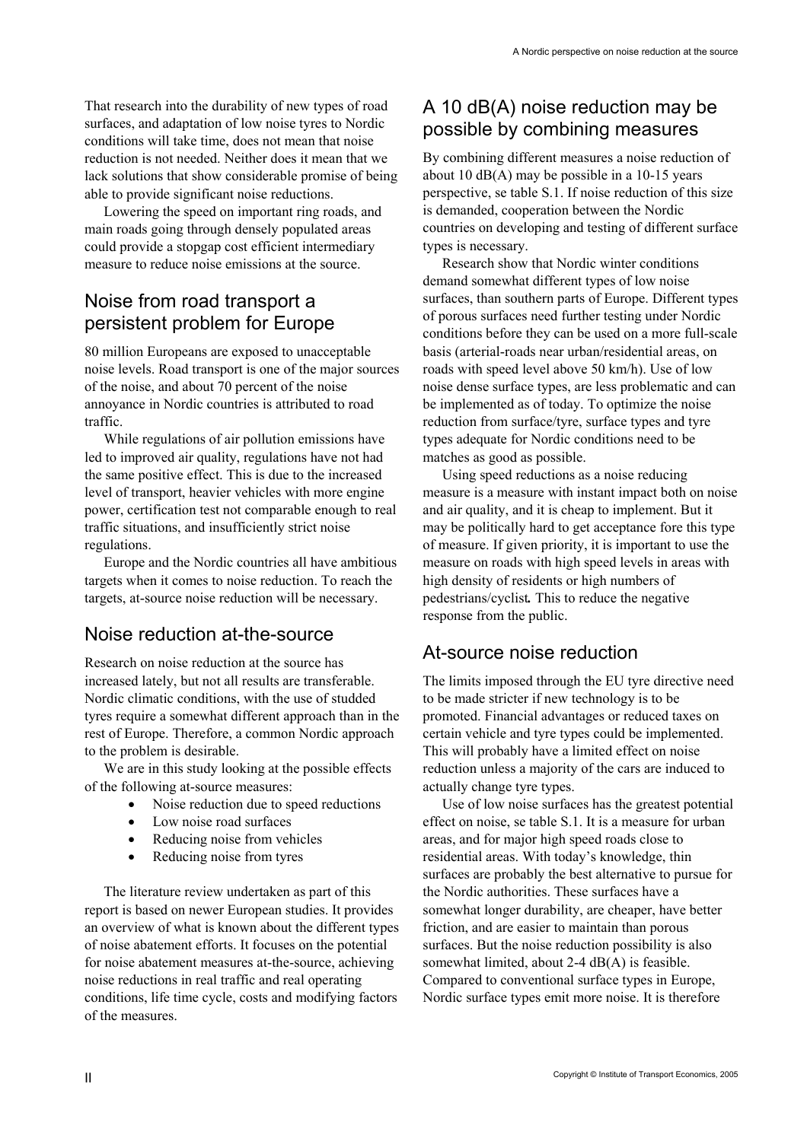That research into the durability of new types of road surfaces, and adaptation of low noise tyres to Nordic conditions will take time, does not mean that noise reduction is not needed. Neither does it mean that we lack solutions that show considerable promise of being able to provide significant noise reductions.

Lowering the speed on important ring roads, and main roads going through densely populated areas could provide a stopgap cost efficient intermediary measure to reduce noise emissions at the source.

# Noise from road transport a persistent problem for Europe

80 million Europeans are exposed to unacceptable noise levels. Road transport is one of the major sources of the noise, and about 70 percent of the noise annoyance in Nordic countries is attributed to road traffic.

While regulations of air pollution emissions have led to improved air quality, regulations have not had the same positive effect. This is due to the increased level of transport, heavier vehicles with more engine power, certification test not comparable enough to real traffic situations, and insufficiently strict noise regulations.

Europe and the Nordic countries all have ambitious targets when it comes to noise reduction. To reach the targets, at-source noise reduction will be necessary.

#### Noise reduction at-the-source

Research on noise reduction at the source has increased lately, but not all results are transferable. Nordic climatic conditions, with the use of studded tyres require a somewhat different approach than in the rest of Europe. Therefore, a common Nordic approach to the problem is desirable.

We are in this study looking at the possible effects of the following at-source measures:

- Noise reduction due to speed reductions
- Low noise road surfaces
- Reducing noise from vehicles
- Reducing noise from tyres

The literature review undertaken as part of this report is based on newer European studies. It provides an overview of what is known about the different types of noise abatement efforts. It focuses on the potential for noise abatement measures at-the-source, achieving noise reductions in real traffic and real operating conditions, life time cycle, costs and modifying factors of the measures.

# A 10 dB(A) noise reduction may be possible by combining measures

By combining different measures a noise reduction of about 10 dB(A) may be possible in a 10-15 years perspective, se table S.1. If noise reduction of this size is demanded, cooperation between the Nordic countries on developing and testing of different surface types is necessary.

Research show that Nordic winter conditions demand somewhat different types of low noise surfaces, than southern parts of Europe. Different types of porous surfaces need further testing under Nordic conditions before they can be used on a more full-scale basis (arterial-roads near urban/residential areas, on roads with speed level above 50 km/h). Use of low noise dense surface types, are less problematic and can be implemented as of today. To optimize the noise reduction from surface/tyre, surface types and tyre types adequate for Nordic conditions need to be matches as good as possible.

Using speed reductions as a noise reducing measure is a measure with instant impact both on noise and air quality, and it is cheap to implement. But it may be politically hard to get acceptance fore this type of measure. If given priority, it is important to use the measure on roads with high speed levels in areas with high density of residents or high numbers of pedestrians/cyclist*.* This to reduce the negative response from the public.

# At-source noise reduction

The limits imposed through the EU tyre directive need to be made stricter if new technology is to be promoted. Financial advantages or reduced taxes on certain vehicle and tyre types could be implemented. This will probably have a limited effect on noise reduction unless a majority of the cars are induced to actually change tyre types.

Use of low noise surfaces has the greatest potential effect on noise, se table S.1. It is a measure for urban areas, and for major high speed roads close to residential areas. With today's knowledge, thin surfaces are probably the best alternative to pursue for the Nordic authorities. These surfaces have a somewhat longer durability, are cheaper, have better friction, and are easier to maintain than porous surfaces. But the noise reduction possibility is also somewhat limited, about 2-4 dB(A) is feasible. Compared to conventional surface types in Europe, Nordic surface types emit more noise. It is therefore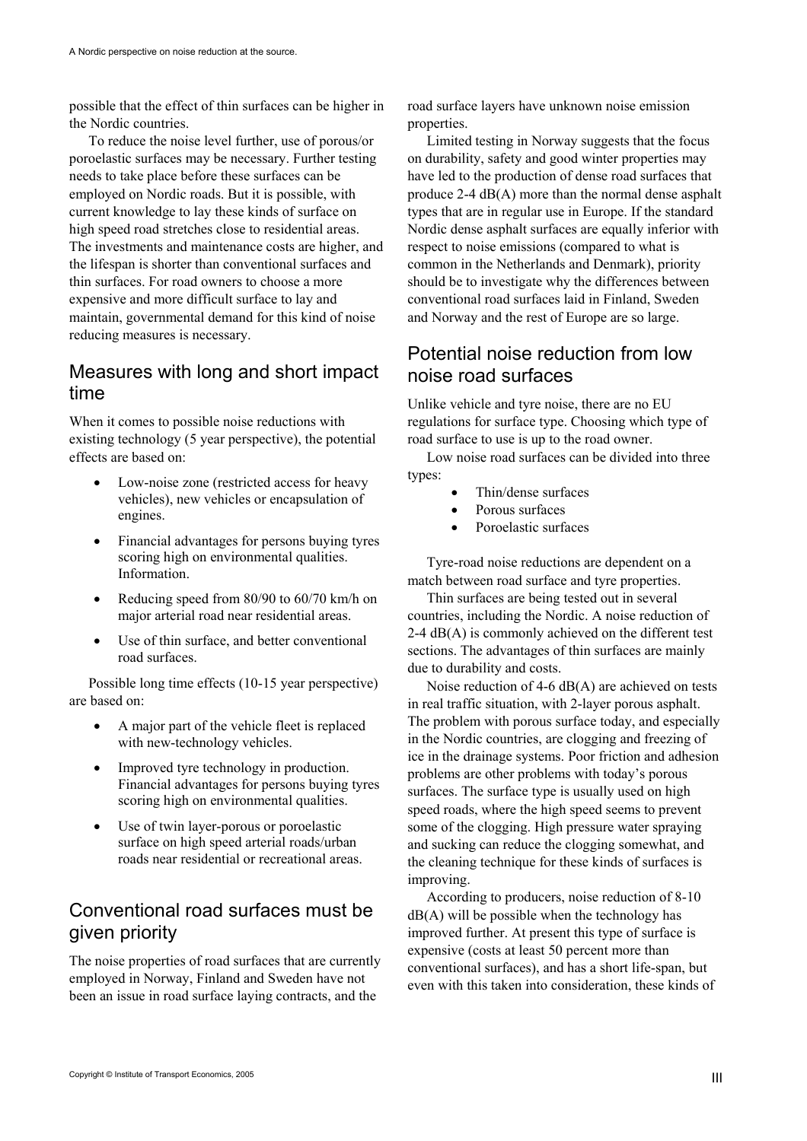possible that the effect of thin surfaces can be higher in the Nordic countries.

To reduce the noise level further, use of porous/or poroelastic surfaces may be necessary. Further testing needs to take place before these surfaces can be employed on Nordic roads. But it is possible, with current knowledge to lay these kinds of surface on high speed road stretches close to residential areas. The investments and maintenance costs are higher, and the lifespan is shorter than conventional surfaces and thin surfaces. For road owners to choose a more expensive and more difficult surface to lay and maintain, governmental demand for this kind of noise reducing measures is necessary.

#### Measures with long and short impact time

When it comes to possible noise reductions with existing technology (5 year perspective), the potential effects are based on:

- Low-noise zone (restricted access for heavy vehicles), new vehicles or encapsulation of engines.
- Financial advantages for persons buying tyres scoring high on environmental qualities. Information.
- Reducing speed from 80/90 to 60/70 km/h on major arterial road near residential areas.
- Use of thin surface, and better conventional road surfaces.

Possible long time effects (10-15 year perspective) are based on:

- A major part of the vehicle fleet is replaced with new-technology vehicles.
- Improved tyre technology in production. Financial advantages for persons buying tyres scoring high on environmental qualities.
- Use of twin layer-porous or poroelastic surface on high speed arterial roads/urban roads near residential or recreational areas.

### Conventional road surfaces must be given priority

The noise properties of road surfaces that are currently employed in Norway, Finland and Sweden have not been an issue in road surface laying contracts, and the

road surface layers have unknown noise emission properties.

Limited testing in Norway suggests that the focus on durability, safety and good winter properties may have led to the production of dense road surfaces that produce 2-4 dB(A) more than the normal dense asphalt types that are in regular use in Europe. If the standard Nordic dense asphalt surfaces are equally inferior with respect to noise emissions (compared to what is common in the Netherlands and Denmark), priority should be to investigate why the differences between conventional road surfaces laid in Finland, Sweden and Norway and the rest of Europe are so large.

#### Potential noise reduction from low noise road surfaces

Unlike vehicle and tyre noise, there are no EU regulations for surface type. Choosing which type of road surface to use is up to the road owner.

Low noise road surfaces can be divided into three types:

- Thin/dense surfaces
- Porous surfaces
- Poroelastic surfaces

Tyre-road noise reductions are dependent on a match between road surface and tyre properties.

Thin surfaces are being tested out in several countries, including the Nordic. A noise reduction of 2-4 dB(A) is commonly achieved on the different test sections. The advantages of thin surfaces are mainly due to durability and costs.

Noise reduction of 4-6 dB(A) are achieved on tests in real traffic situation, with 2-layer porous asphalt. The problem with porous surface today, and especially in the Nordic countries, are clogging and freezing of ice in the drainage systems. Poor friction and adhesion problems are other problems with today's porous surfaces. The surface type is usually used on high speed roads, where the high speed seems to prevent some of the clogging. High pressure water spraying and sucking can reduce the clogging somewhat, and the cleaning technique for these kinds of surfaces is improving.

According to producers, noise reduction of 8-10  $dB(A)$  will be possible when the technology has improved further. At present this type of surface is expensive (costs at least 50 percent more than conventional surfaces), and has a short life-span, but even with this taken into consideration, these kinds of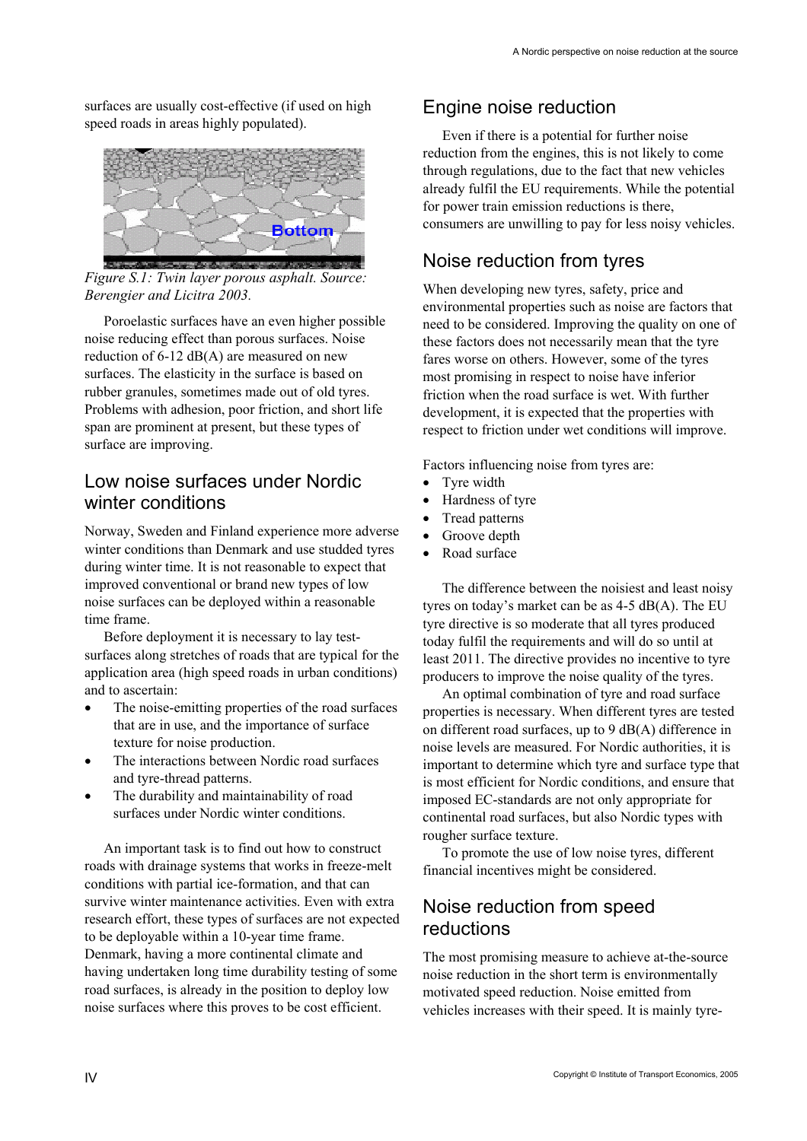surfaces are usually cost-effective (if used on high speed roads in areas highly populated).



*Figure S.1: Twin layer porous asphalt. Source: Berengier and Licitra 2003.* 

Poroelastic surfaces have an even higher possible noise reducing effect than porous surfaces. Noise reduction of 6-12 dB(A) are measured on new surfaces. The elasticity in the surface is based on rubber granules, sometimes made out of old tyres. Problems with adhesion, poor friction, and short life span are prominent at present, but these types of surface are improving.

#### Low noise surfaces under Nordic winter conditions

Norway, Sweden and Finland experience more adverse winter conditions than Denmark and use studded tyres during winter time. It is not reasonable to expect that improved conventional or brand new types of low noise surfaces can be deployed within a reasonable time frame.

Before deployment it is necessary to lay testsurfaces along stretches of roads that are typical for the application area (high speed roads in urban conditions) and to ascertain:

- The noise-emitting properties of the road surfaces that are in use, and the importance of surface texture for noise production.
- The interactions between Nordic road surfaces and tyre-thread patterns.
- The durability and maintainability of road surfaces under Nordic winter conditions.

An important task is to find out how to construct roads with drainage systems that works in freeze-melt conditions with partial ice-formation, and that can survive winter maintenance activities. Even with extra research effort, these types of surfaces are not expected to be deployable within a 10-year time frame. Denmark, having a more continental climate and having undertaken long time durability testing of some road surfaces, is already in the position to deploy low noise surfaces where this proves to be cost efficient.

# Engine noise reduction

Even if there is a potential for further noise reduction from the engines, this is not likely to come through regulations, due to the fact that new vehicles already fulfil the EU requirements. While the potential for power train emission reductions is there, consumers are unwilling to pay for less noisy vehicles.

# Noise reduction from tyres

When developing new tyres, safety, price and environmental properties such as noise are factors that need to be considered. Improving the quality on one of these factors does not necessarily mean that the tyre fares worse on others. However, some of the tyres most promising in respect to noise have inferior friction when the road surface is wet. With further development, it is expected that the properties with respect to friction under wet conditions will improve.

Factors influencing noise from tyres are:

- Tyre width
- Hardness of tyre
- Tread patterns
- Groove depth
- Road surface

The difference between the noisiest and least noisy tyres on today's market can be as 4-5 dB(A). The EU tyre directive is so moderate that all tyres produced today fulfil the requirements and will do so until at least 2011. The directive provides no incentive to tyre producers to improve the noise quality of the tyres.

An optimal combination of tyre and road surface properties is necessary. When different tyres are tested on different road surfaces, up to 9 dB(A) difference in noise levels are measured. For Nordic authorities, it is important to determine which tyre and surface type that is most efficient for Nordic conditions, and ensure that imposed EC-standards are not only appropriate for continental road surfaces, but also Nordic types with rougher surface texture.

To promote the use of low noise tyres, different financial incentives might be considered.

# Noise reduction from speed reductions

The most promising measure to achieve at-the-source noise reduction in the short term is environmentally motivated speed reduction. Noise emitted from vehicles increases with their speed. It is mainly tyre